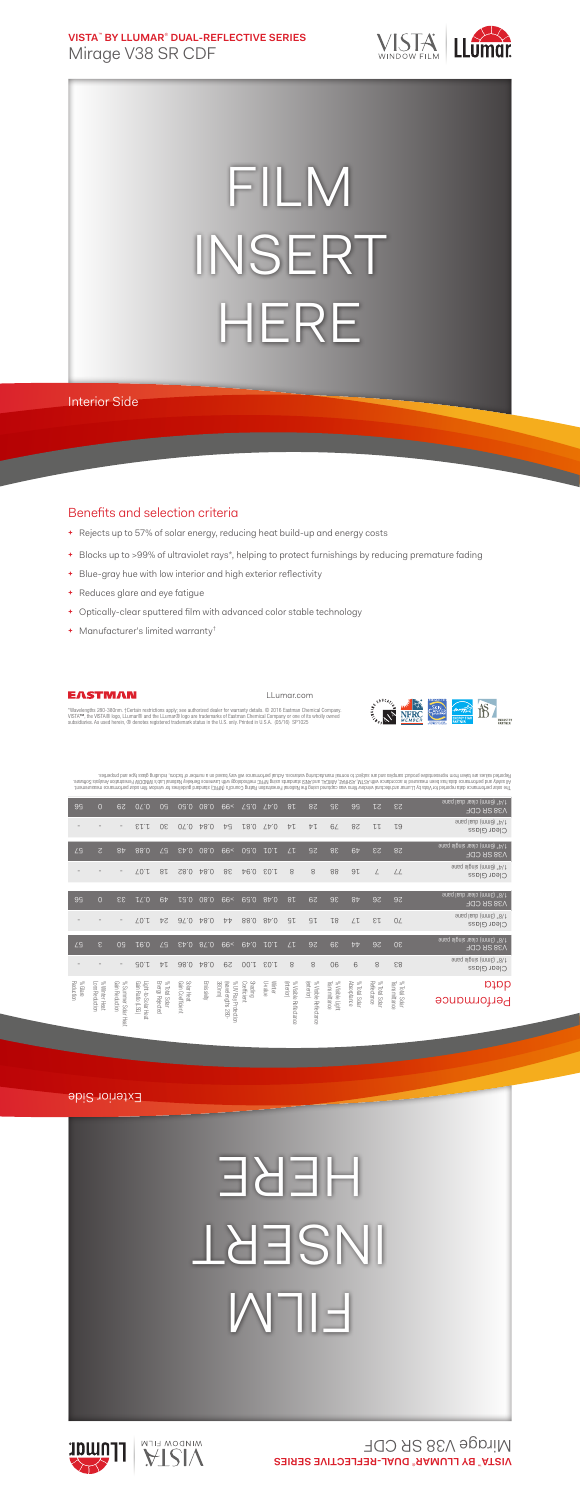**VISTA**™  **BY LLUMAR**®  **DUAL-REFLECTIVE SERIES** Mirage V38 SR CDF



## FILM INSERT HERE

Interior Side

## Benefits and selection criteria

- **+** Rejects up to 57% of solar energy, reducing heat build-up and energy costs
- **+** Blocks up to >99% of ultraviolet rays\*, helping to protect furnishings by reducing premature fading
- **+** Blue-gray hue with low interior and high exterior reflectivity
- **+** Reduces glare and eye fatigue
- **+** Optically-clear sputtered film with advanced color stable technology
- **+** Manufacturer's limited warranty†



LLumar.com



"Wavelengths 280-380nm. †Certain restrictions apply; see authorized dealer for warranty details. © 2016 Eastman Chemical Company.<br>VISTA™, the VISTA® logo, LLumar® and the LLumar® logo are trademarks of Eastman Chemical Com